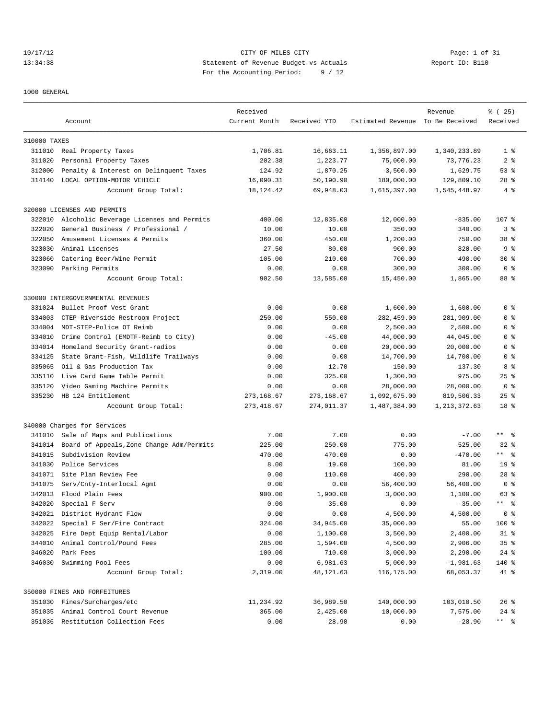# 10/17/12 CITY OF MILES CITY Page: 1 of 31 13:34:38 Statement of Revenue Budget vs Actuals Report ID: B110 For the Accounting Period: 9 / 12

1000 GENERAL

|              |                                           | Received      |              |                                  | Revenue        | % (25)                       |
|--------------|-------------------------------------------|---------------|--------------|----------------------------------|----------------|------------------------------|
|              | Account                                   | Current Month | Received YTD | Estimated Revenue To Be Received |                | Received                     |
| 310000 TAXES |                                           |               |              |                                  |                |                              |
|              | 311010 Real Property Taxes                | 1,706.81      | 16,663.11    | 1,356,897.00                     | 1,340,233.89   | 1 <sup>8</sup>               |
| 311020       | Personal Property Taxes                   | 202.38        | 1,223.77     | 75,000.00                        | 73,776.23      | 2 <sub>8</sub>               |
| 312000       | Penalty & Interest on Delinquent Taxes    | 124.92        | 1,870.25     | 3,500.00                         | 1,629.75       | 53%                          |
|              | 314140 LOCAL OPTION-MOTOR VEHICLE         | 16,090.31     | 50,190.90    | 180,000.00                       | 129,809.10     | $28$ %                       |
|              | Account Group Total:                      | 18, 124. 42   | 69,948.03    | 1,615,397.00                     | 1,545,448.97   | 4%                           |
|              | 320000 LICENSES AND PERMITS               |               |              |                                  |                |                              |
| 322010       | Alcoholic Beverage Licenses and Permits   | 400.00        | 12,835.00    | 12,000.00                        | $-835.00$      | 107 %                        |
| 322020       | General Business / Professional /         | 10.00         | 10.00        | 350.00                           | 340.00         | 3%                           |
| 322050       | Amusement Licenses & Permits              | 360.00        | 450.00       | 1,200.00                         | 750.00         | 38 <sup>8</sup>              |
| 323030       | Animal Licenses                           | 27.50         | 80.00        | 900.00                           | 820.00         | 9 <sub>8</sub>               |
| 323060       | Catering Beer/Wine Permit                 | 105.00        | 210.00       | 700.00                           | 490.00         | $30*$                        |
|              | 323090 Parking Permits                    | 0.00          | 0.00         | 300.00                           | 300.00         | 0 <sup>8</sup>               |
|              | Account Group Total:                      | 902.50        | 13,585.00    | 15,450.00                        | 1,865.00       | 88 %                         |
|              | 330000 INTERGOVERNMENTAL REVENUES         |               |              |                                  |                |                              |
| 331024       | Bullet Proof Vest Grant                   | 0.00          | 0.00         | 1,600.00                         | 1,600.00       | 0 <sup>8</sup>               |
| 334003       | CTEP-Riverside Restroom Project           | 250.00        | 550.00       | 282,459.00                       | 281,909.00     | 0 <sup>8</sup>               |
| 334004       | MDT-STEP-Police OT Reimb                  | 0.00          | 0.00         | 2,500.00                         | 2,500.00       | 0 <sup>8</sup>               |
| 334010       | Crime Control (EMDTF-Reimb to City)       | 0.00          | $-45.00$     | 44,000.00                        | 44,045.00      | 0 <sup>8</sup>               |
| 334014       | Homeland Security Grant-radios            | 0.00          | 0.00         | 20,000.00                        | 20,000.00      | 0 <sup>8</sup>               |
| 334125       | State Grant-Fish, Wildlife Trailways      | 0.00          | 0.00         | 14,700.00                        | 14,700.00      | 0 <sup>8</sup>               |
| 335065       | Oil & Gas Production Tax                  | 0.00          | 12.70        | 150.00                           | 137.30         | 8 %                          |
| 335110       | Live Card Game Table Permit               | 0.00          | 325.00       | 1,300.00                         | 975.00         | 25%                          |
| 335120       | Video Gaming Machine Permits              | 0.00          | 0.00         | 28,000.00                        | 28,000.00      | 0 <sup>8</sup>               |
|              | 335230 HB 124 Entitlement                 | 273, 168.67   | 273,168.67   | 1,092,675.00                     | 819,506.33     | $25$ %                       |
|              | Account Group Total:                      | 273, 418.67   | 274,011.37   | 1,487,384.00                     | 1, 213, 372.63 | 18 %                         |
|              | 340000 Charges for Services               |               |              |                                  |                |                              |
| 341010       | Sale of Maps and Publications             | 7.00          | 7.00         | 0.00                             | $-7.00$        | $***$ $ -$                   |
| 341014       | Board of Appeals, Zone Change Adm/Permits | 225.00        | 250.00       | 775.00                           | 525.00         | $32$ $%$                     |
| 341015       | Subdivision Review                        | 470.00        | 470.00       | 0.00                             | $-470.00$      | $***$ 8                      |
| 341030       | Police Services                           | 8.00          | 19.00        | 100.00                           | 81.00          | 19 <sup>°</sup>              |
|              | 341071 Site Plan Review Fee               | 0.00          | 110.00       | 400.00                           | 290.00         | $28$ %                       |
| 341075       | Serv/Cnty-Interlocal Agmt                 | 0.00          | 0.00         | 56,400.00                        | 56,400.00      | 0 <sup>8</sup>               |
| 342013       | Flood Plain Fees                          | 900.00        | 1,900.00     | 3,000.00                         | 1,100.00       | 63 %                         |
| 342020       | Special F Serv                            | 0.00          | 35.00        | 0.00                             | $-35.00$       | $\star$ $\star$<br>$\approx$ |
|              | 342021 District Hydrant Flow              | 0.00          | 0.00         | 4,500.00                         | 4,500.00       | 0 <sup>8</sup>               |
| 342022       | Special F Ser/Fire Contract               | 324.00        | 34,945.00    | 35,000.00                        | 55.00          | 100 %                        |
| 342025       | Fire Dept Equip Rental/Labor              | 0.00          | 1,100.00     | 3,500.00                         | 2,400.00       | $31$ %                       |
| 344010       | Animal Control/Pound Fees                 | 285.00        | 1,594.00     | 4,500.00                         | 2,906.00       | 35%                          |
| 346020       | Park Fees                                 | 100.00        | 710.00       | 3,000.00                         | 2,290.00       | $24$ %                       |
| 346030       | Swimming Pool Fees                        | 0.00          | 6,981.63     | 5,000.00                         | $-1,981.63$    | 140 %                        |
|              | Account Group Total:                      | 2,319.00      | 48,121.63    | 116,175.00                       | 68,053.37      | 41 %                         |
|              | 350000 FINES AND FORFEITURES              |               |              |                                  |                |                              |
|              | 351030 Fines/Surcharges/etc               | 11,234.92     | 36,989.50    | 140,000.00                       | 103,010.50     | $26$ %                       |
|              | 351035 Animal Control Court Revenue       | 365.00        | 2,425.00     | 10,000.00                        | 7,575.00       | $24$ %                       |
|              | 351036 Restitution Collection Fees        | 0.00          | 28.90        | 0.00                             | $-28.90$       | $***$ $ \frac{6}{9}$         |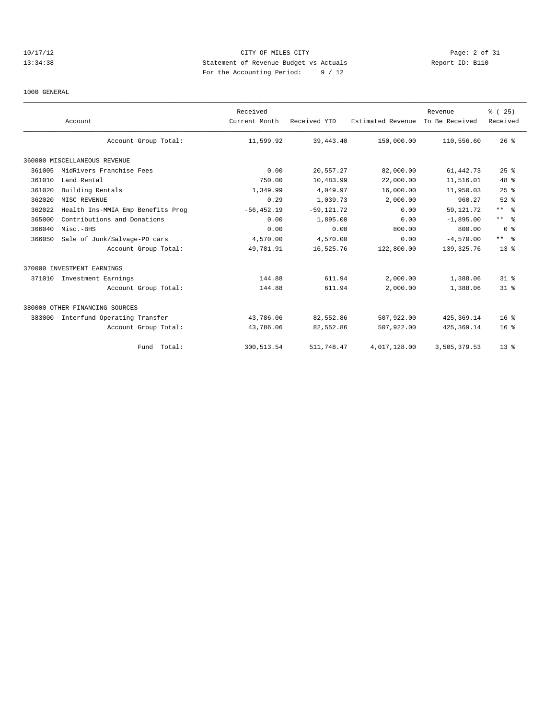# 10/17/12 CITY OF MILES CITY Page: 2 of 31 13:34:38 Statement of Revenue Budget vs Actuals Report ID: B110 For the Accounting Period: 9 / 12

#### 1000 GENERAL

|        |                                   | Received      |                |                   | Revenue        | % (25)               |
|--------|-----------------------------------|---------------|----------------|-------------------|----------------|----------------------|
|        | Account                           | Current Month | Received YTD   | Estimated Revenue | To Be Received | Received             |
|        | Account Group Total:              | 11,599.92     | 39, 443.40     | 150,000.00        | 110,556.60     | 26%                  |
|        | 360000 MISCELLANEOUS REVENUE      |               |                |                   |                |                      |
| 361005 | MidRivers Franchise Fees          | 0.00          | 20,557.27      | 82,000.00         | 61,442.73      | 25%                  |
| 361010 | Land Rental                       | 750.00        | 10,483.99      | 22,000.00         | 11,516.01      | 48 %                 |
| 361020 | Building Rentals                  | 1,349.99      | 4,049.97       | 16,000.00         | 11,950.03      | 25%                  |
| 362020 | MISC REVENUE                      | 0.29          | 1,039.73       | 2,000.00          | 960.27         | $52$ $%$             |
| 362022 | Health Ins-MMIA Emp Benefits Prog | $-56, 452.19$ | $-59, 121, 72$ | 0.00              | 59, 121. 72    | $***$ $ -$           |
| 365000 | Contributions and Donations       | 0.00          | 1,895.00       | 0.00              | $-1,895.00$    | $***$ $ \frac{6}{9}$ |
| 366040 | Misc.-BHS                         | 0.00          | 0.00           | 800.00            | 800.00         | 0 <sup>8</sup>       |
| 366050 | Sale of Junk/Salvage-PD cars      | 4,570.00      | 4,570.00       | 0.00              | $-4,570.00$    | $***$ $ -$           |
|        | Account Group Total:              | $-49,781.91$  | $-16, 525.76$  | 122,800.00        | 139, 325. 76   | $-13$ %              |
|        | 370000 INVESTMENT EARNINGS        |               |                |                   |                |                      |
| 371010 | Investment Earnings               | 144.88        | 611.94         | 2,000.00          | 1,388.06       | 31.8                 |
|        | Account Group Total:              | 144.88        | 611.94         | 2,000.00          | 1,388.06       | 31.8                 |
|        | 380000 OTHER FINANCING SOURCES    |               |                |                   |                |                      |
| 383000 | Interfund Operating Transfer      | 43,786.06     | 82,552.86      | 507,922.00        | 425, 369.14    | 16 <sup>8</sup>      |
|        | Account Group Total:              | 43,786.06     | 82,552.86      | 507,922.00        | 425, 369.14    | 16 <sup>8</sup>      |
|        | Fund Total:                       | 300,513.54    | 511,748.47     | 4,017,128.00      | 3,505,379.53   | 13 <sup>8</sup>      |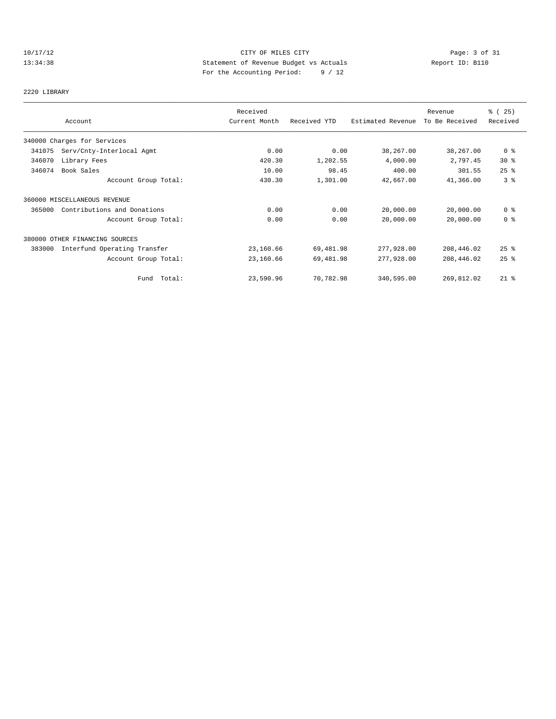# 10/17/12 CITY OF MILES CITY Page: 3 of 31<br>13:34:38 Statement of Revenue Budget vs Actuals Report ID: B110<br>13:34:38 Por the Accumulate Device: 2016 13:34:38 Statement of Revenue Budget vs Actuals Report ID: B110 For the Accounting Period: 9 / 12

#### 2220 LIBRARY

|        |                                | Received      |              |                   | Revenue        | % (25)             |
|--------|--------------------------------|---------------|--------------|-------------------|----------------|--------------------|
|        | Account                        | Current Month | Received YTD | Estimated Revenue | To Be Received | Received           |
|        | 340000 Charges for Services    |               |              |                   |                |                    |
| 341075 | Serv/Cnty-Interlocal Agmt      | 0.00          | 0.00         | 38,267.00         | 38,267.00      | 0 <sup>8</sup>     |
| 346070 | Library Fees                   | 420.30        | 1,202.55     | 4,000.00          | 2,797.45       | $30*$              |
| 346074 | Book Sales                     | 10.00         | 98.45        | 400.00            | 301.55         | $25$ %             |
|        | Account Group Total:           | 430.30        | 1,301.00     | 42,667.00         | 41,366.00      | 3%                 |
|        | 360000 MISCELLANEOUS REVENUE   |               |              |                   |                |                    |
| 365000 | Contributions and Donations    | 0.00          | 0.00         | 20,000.00         | 20,000.00      | 0 <sup>8</sup>     |
|        | Account Group Total:           | 0.00          | 0.00         | 20,000.00         | 20,000.00      | 0 <sup>8</sup>     |
|        | 380000 OTHER FINANCING SOURCES |               |              |                   |                |                    |
| 383000 | Interfund Operating Transfer   | 23,160.66     | 69,481.98    | 277,928.00        | 208,446.02     | $25$ $\frac{6}{5}$ |
|        | Account Group Total:           | 23,160.66     | 69,481.98    | 277,928.00        | 208,446.02     | $25$ %             |
|        | Total:<br>Fund                 | 23,590.96     | 70,782.98    | 340,595.00        | 269,812.02     | $21$ %             |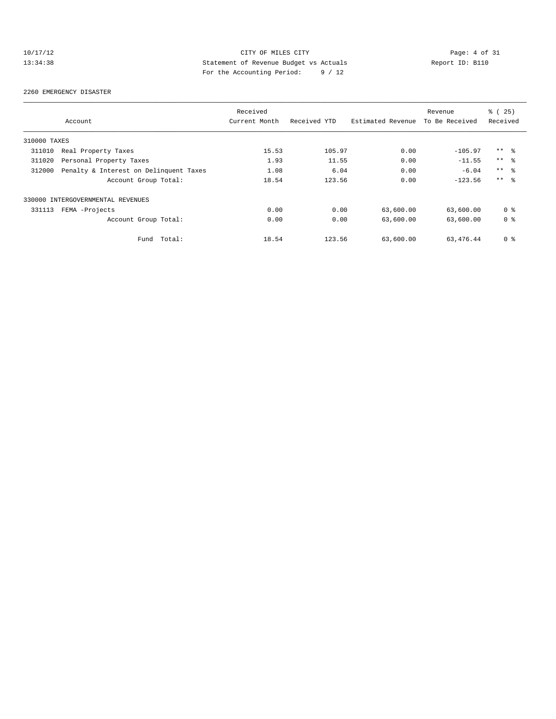# 10/17/12 CITY OF MILES CITY Page: 4 of 31<br>13:34:38 Statement of Revenue Budget vs Actuals Report ID: B110<br>13:34:38 Por the Accumulate Device: 2016 13:34:38 Statement of Revenue Budget vs Actuals Report ID: B110 For the Accounting Period: 9 / 12

#### 2260 EMERGENCY DISASTER

|              |                                        | Received      |              |                   | Revenue        | % (25)          |
|--------------|----------------------------------------|---------------|--------------|-------------------|----------------|-----------------|
|              | Account                                | Current Month | Received YTD | Estimated Revenue | To Be Received | Received        |
| 310000 TAXES |                                        |               |              |                   |                |                 |
| 311010       | Real Property Taxes                    | 15.53         | 105.97       | 0.00              | $-105.97$      | $***$ %         |
| 311020       | Personal Property Taxes                | 1.93          | 11.55        | 0.00              | $-11.55$       | $***$ 8         |
| 312000       | Penalty & Interest on Delinquent Taxes | 1.08          | 6.04         | 0.00              | $-6.04$        | $***$ %         |
|              | Account Group Total:                   | 18.54         | 123.56       | 0.00              | $-123.56$      | $***$ $\approx$ |
|              | 330000 INTERGOVERNMENTAL REVENUES      |               |              |                   |                |                 |
| 331113       | FEMA -Projects                         | 0.00          | 0.00         | 63,600.00         | 63,600.00      | 0 <sub>8</sub>  |
|              | Account Group Total:                   | 0.00          | 0.00         | 63,600.00         | 63,600.00      | 0 <sub>8</sub>  |
|              | Total:<br>Fund                         | 18.54         | 123.56       | 63,600.00         | 63, 476. 44    | 0 <sup>8</sup>  |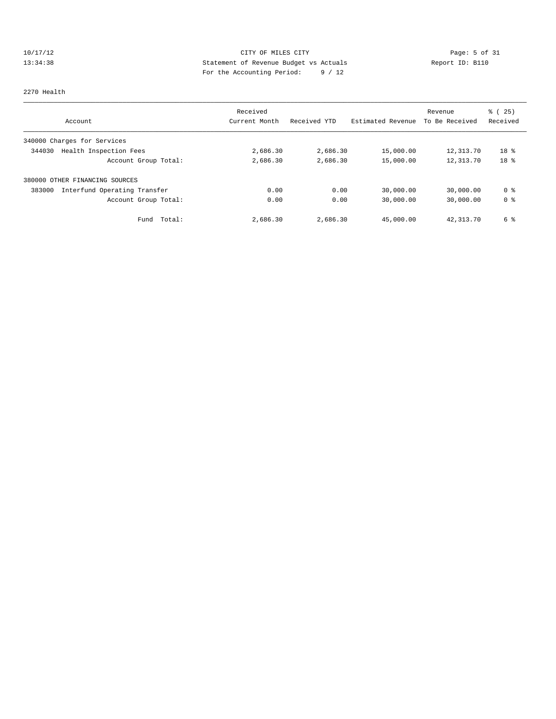# 10/17/12 CITY OF MILES CITY Page: 5 of 31 13:34:38 Statement of Revenue Budget vs Actuals Report ID: B110<br>Report ID: B110 For the Accounting Period: 9 / 12

#### 2270 Health

| Account                                | Received<br>Current Month | Received YTD | Estimated Revenue | Revenue<br>To Be Received | % (25)<br>Received |
|----------------------------------------|---------------------------|--------------|-------------------|---------------------------|--------------------|
| 340000 Charges for Services            |                           |              |                   |                           |                    |
| Health Inspection Fees<br>344030       | 2,686.30                  | 2,686.30     | 15,000.00         | 12,313.70                 | 18 %               |
| Account Group Total:                   | 2,686.30                  | 2,686.30     | 15,000.00         | 12,313.70                 | 18 %               |
| OTHER FINANCING SOURCES<br>380000      |                           |              |                   |                           |                    |
| Interfund Operating Transfer<br>383000 | 0.00                      | 0.00         | 30,000.00         | 30,000.00                 | 0 <sup>8</sup>     |
| Account Group Total:                   | 0.00                      | 0.00         | 30,000.00         | 30,000.00                 | 0 <sup>8</sup>     |
| Total:<br>Fund                         | 2,686.30                  | 2,686.30     | 45,000.00         | 42,313.70                 | 6 %                |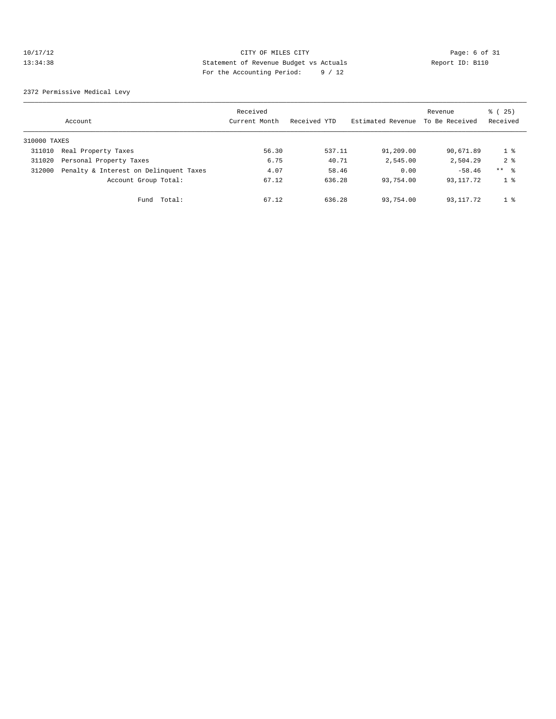#### 10/17/12 CITY OF MILES CITY Page: 6 of 31<br>13:34:38 Statement of Revenue Budget vs Actuals Report ID: B110<br>13:34:38 Report ID: B110 13:34:38 Statement of Revenue Budget vs Actuals Report ID: B110 For the Accounting Period: 9 / 12

2372 Permissive Medical Levy

|              | Account                                | Received<br>Current Month | Received YTD | Estimated Revenue | Revenue<br>To Be Received | 25)<br>ී (<br>Received |
|--------------|----------------------------------------|---------------------------|--------------|-------------------|---------------------------|------------------------|
| 310000 TAXES |                                        |                           |              |                   |                           |                        |
| 311010       | Real Property Taxes                    | 56.30                     | 537.11       | 91,209.00         | 90,671.89                 | $1 \circ$              |
| 311020       | Personal Property Taxes                | 6.75                      | 40.71        | 2,545.00          | 2,504.29                  | 2 <sub>8</sub>         |
| 312000       | Penalty & Interest on Delinquent Taxes | 4.07                      | 58.46        | 0.00              | $-58.46$                  | $***$ $\approx$        |
|              | Account Group Total:                   | 67.12                     | 636.28       | 93,754.00         | 93,117.72                 | 1 <sup>8</sup>         |
|              | Total:<br>Fund                         | 67.12                     | 636.28       | 93,754.00         | 93, 117, 72               | $1 \degree$            |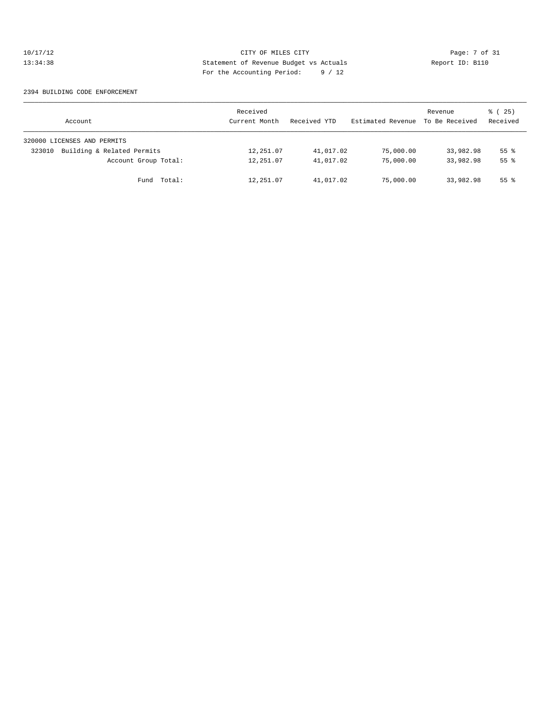# 10/17/12 CITY OF MILES CITY Page: 7 of 31<br>13:34:38 Statement of Revenue Budget vs Actuals Report ID: B110<br>13:34:38 Pay the Accumulate Device: 2016 13:34:38 Statement of Revenue Budget vs Actuals Report ID: B110 For the Accounting Period: 9 / 12

#### 2394 BUILDING CODE ENFORCEMENT

| Account                              | Received<br>Current Month | Received YTD | Estimated Revenue | Revenue<br>To Be Received | 8 (25)<br>Received |
|--------------------------------------|---------------------------|--------------|-------------------|---------------------------|--------------------|
| 320000 LICENSES AND PERMITS          |                           |              |                   |                           |                    |
| Building & Related Permits<br>323010 | 12,251.07                 | 41,017.02    | 75,000.00         | 33,982.98                 | $55$ $%$           |
| Account Group Total:                 | 12,251.07                 | 41,017.02    | 75,000.00         | 33,982.98                 | $55$ $\frac{6}{3}$ |
| Fund Total:                          | 12,251.07                 | 41,017.02    | 75,000.00         | 33,982.98                 | 55 %               |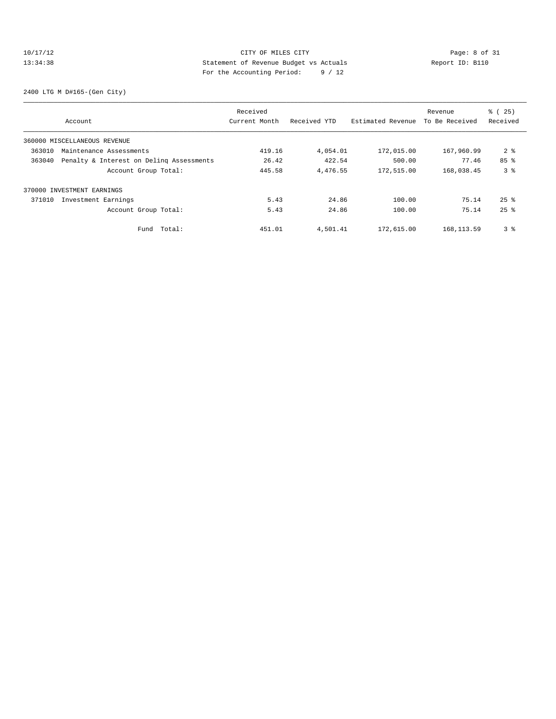# 10/17/12 CITY OF MILES CITY Page: 8 of 31<br>13:34:38 Statement of Revenue Budget vs Actuals Report ID: B110<br>13:34:38 Por the Accumulate Device: 2016 13:34:38 Statement of Revenue Budget vs Actuals Report ID: B110 For the Accounting Period: 9 / 12

2400 LTG M D#165-(Gen City)

|        |                                          | Received      |              |                   | Revenue        | % (25)             |
|--------|------------------------------------------|---------------|--------------|-------------------|----------------|--------------------|
|        | Account                                  | Current Month | Received YTD | Estimated Revenue | To Be Received | Received           |
|        | 360000 MISCELLANEOUS REVENUE             |               |              |                   |                |                    |
| 363010 | Maintenance Assessments                  | 419.16        | 4,054.01     | 172,015.00        | 167,960.99     | 2 <sub>8</sub>     |
| 363040 | Penalty & Interest on Deling Assessments | 26.42         | 422.54       | 500.00            | 77.46          | 85 <sup>8</sup>    |
|        | Account Group Total:                     | 445.58        | 4,476.55     | 172,515.00        | 168,038.45     | 3%                 |
|        | 370000 INVESTMENT EARNINGS               |               |              |                   |                |                    |
| 371010 | Investment Earnings                      | 5.43          | 24.86        | 100.00            | 75.14          | $25$ $\frac{6}{5}$ |
|        | Account Group Total:                     | 5.43          | 24.86        | 100.00            | 75.14          | $25$ $%$           |
|        | Total:<br>Fund                           | 451.01        | 4,501.41     | 172,615.00        | 168, 113.59    | 3%                 |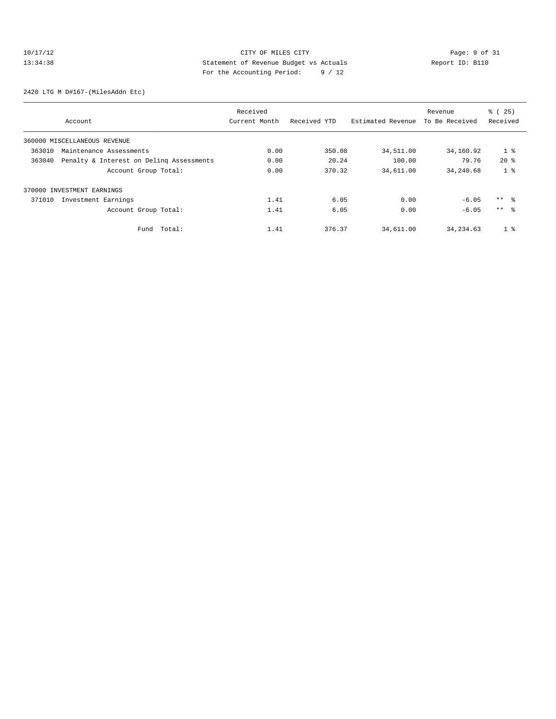# 10/17/12 CITY OF MILES CITY Page: 9 of 31<br>13:34:38 Statement of Revenue Budget vs Actuals Report ID: B110<br>13:34:38 Report ID: B110 13:34:38 Statement of Revenue Budget vs Actuals Report ID: B110 For the Accounting Period: 9 / 12

2420 LTG M D#167-(MilesAddn Etc)

|        |                                          | Received      |              |                   | Revenue        | % (25)          |
|--------|------------------------------------------|---------------|--------------|-------------------|----------------|-----------------|
|        | Account                                  | Current Month | Received YTD | Estimated Revenue | To Be Received | Received        |
|        | 360000 MISCELLANEOUS REVENUE             |               |              |                   |                |                 |
| 363010 | Maintenance Assessments                  | 0.00          | 350.08       | 34,511.00         | 34,160.92      | 1 <sup>8</sup>  |
| 363040 | Penalty & Interest on Deling Assessments | 0.00          | 20.24        | 100.00            | 79.76          | $20*$           |
|        | Account Group Total:                     | 0.00          | 370.32       | 34,611.00         | 34,240.68      | 1 <sup>8</sup>  |
|        | 370000 INVESTMENT EARNINGS               |               |              |                   |                |                 |
| 371010 | Investment Earnings                      | 1.41          | 6.05         | 0.00              | $-6.05$        | $***$ $\approx$ |
|        | Account Group Total:                     | 1.41          | 6.05         | 0.00              | $-6.05$        | $***$ $\approx$ |
|        | Total:<br>Fund                           | 1.41          | 376.37       | 34,611.00         | 34, 234.63     | 1 <sup>°</sup>  |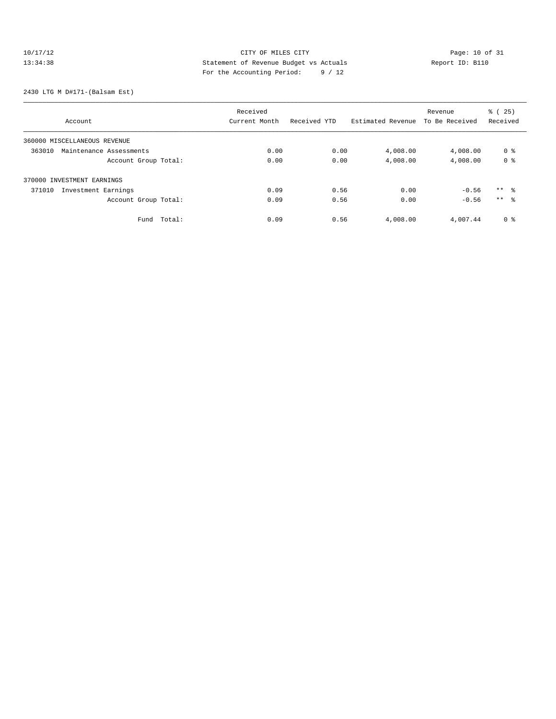# 10/17/12 Page: 10 of 31 13:34:38 Statement of Revenue Budget vs Actuals Report ID: B110 For the Accounting Period: 9 / 12

2430 LTG M D#171-(Balsam Est)

|                                   | Received      |              |                   | Revenue        | $\frac{1}{6}$ ( 25 ) |
|-----------------------------------|---------------|--------------|-------------------|----------------|----------------------|
| Account                           | Current Month | Received YTD | Estimated Revenue | To Be Received | Received             |
| 360000 MISCELLANEOUS REVENUE      |               |              |                   |                |                      |
| 363010<br>Maintenance Assessments | 0.00          | 0.00         | 4,008.00          | 4,008.00       | 0 <sup>8</sup>       |
| Account Group Total:              | 0.00          | 0.00         | 4,008.00          | 4,008.00       | 0 <sup>8</sup>       |
| 370000 INVESTMENT EARNINGS        |               |              |                   |                |                      |
| Investment Earnings<br>371010     | 0.09          | 0.56         | 0.00              | $-0.56$        | $***$ 8              |
| Account Group Total:              | 0.09          | 0.56         | 0.00              | $-0.56$        | $***$ 8              |
| Total:<br>Fund                    | 0.09          | 0.56         | 4,008.00          | 4,007.44       | 0 <sup>8</sup>       |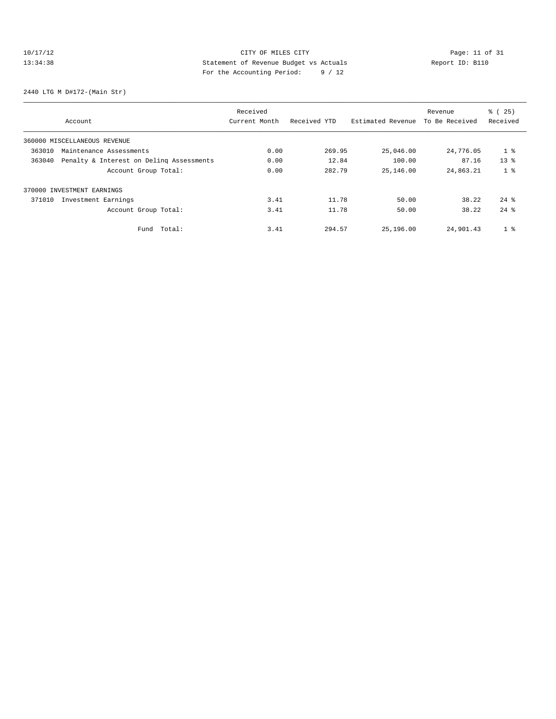# 10/17/12 Page: 11 of 31 13:34:38 Statement of Revenue Budget vs Actuals Report ID: B110<br>Report ID: B110 For the Accounting Period: 9 / 12

2440 LTG M D#172-(Main Str)

|        |                                          | Received      |              |                   | Revenue        | % (25)         |
|--------|------------------------------------------|---------------|--------------|-------------------|----------------|----------------|
|        | Account                                  | Current Month | Received YTD | Estimated Revenue | To Be Received | Received       |
|        | 360000 MISCELLANEOUS REVENUE             |               |              |                   |                |                |
| 363010 | Maintenance Assessments                  | 0.00          | 269.95       | 25,046.00         | 24,776.05      | 1 <sup>8</sup> |
| 363040 | Penalty & Interest on Deling Assessments | 0.00          | 12.84        | 100.00            | 87.16          | $13*$          |
|        | Account Group Total:                     | 0.00          | 282.79       | 25,146.00         | 24,863.21      | 1 <sup>8</sup> |
|        | 370000 INVESTMENT EARNINGS               |               |              |                   |                |                |
| 371010 | Investment Earnings                      | 3.41          | 11.78        | 50.00             | 38.22          | $24$ $%$       |
|        | Account Group Total:                     | 3.41          | 11.78        | 50.00             | 38.22          | $24$ $%$       |
|        | Total:<br>Fund                           | 3.41          | 294.57       | 25,196.00         | 24,901.43      | 1 <sup>8</sup> |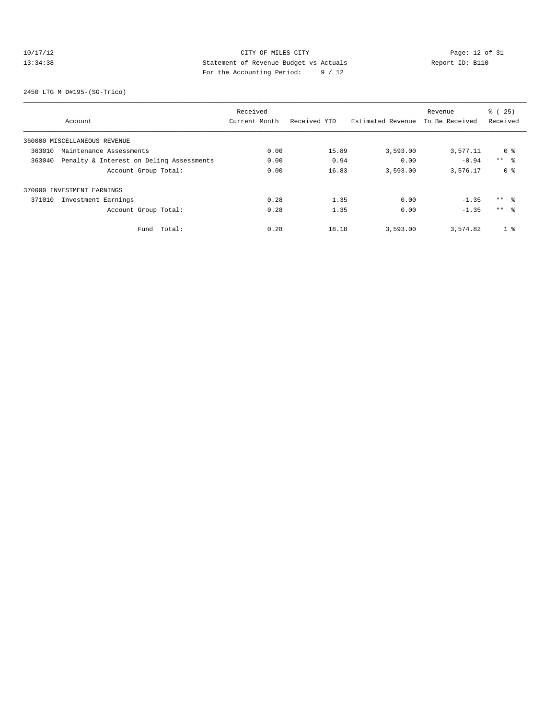# 10/17/12 Page: 12 of 31 13:34:38 Statement of Revenue Budget vs Actuals Report ID: B110 For the Accounting Period: 9 / 12

2450 LTG M D#195-(SG-Trico)

|        |                                          | Received      |              |                   | Revenue        | % (25)          |
|--------|------------------------------------------|---------------|--------------|-------------------|----------------|-----------------|
|        | Account                                  | Current Month | Received YTD | Estimated Revenue | To Be Received | Received        |
|        | 360000 MISCELLANEOUS REVENUE             |               |              |                   |                |                 |
| 363010 | Maintenance Assessments                  | 0.00          | 15.89        | 3,593.00          | 3,577.11       | 0 %             |
| 363040 | Penalty & Interest on Deling Assessments | 0.00          | 0.94         | 0.00              | $-0.94$        | $***$ $\approx$ |
|        | Account Group Total:                     | 0.00          | 16.83        | 3,593.00          | 3,576.17       | 0 <sup>8</sup>  |
|        | 370000 INVESTMENT EARNINGS               |               |              |                   |                |                 |
| 371010 | Investment Earnings                      | 0.28          | 1.35         | 0.00              | $-1.35$        | ** 왕            |
|        | Account Group Total:                     | 0.28          | 1.35         | 0.00              | $-1.35$        | $***$ $\approx$ |
|        | Total:<br>Fund                           | 0.28          | 18.18        | 3,593.00          | 3,574.82       | 1 <sup>8</sup>  |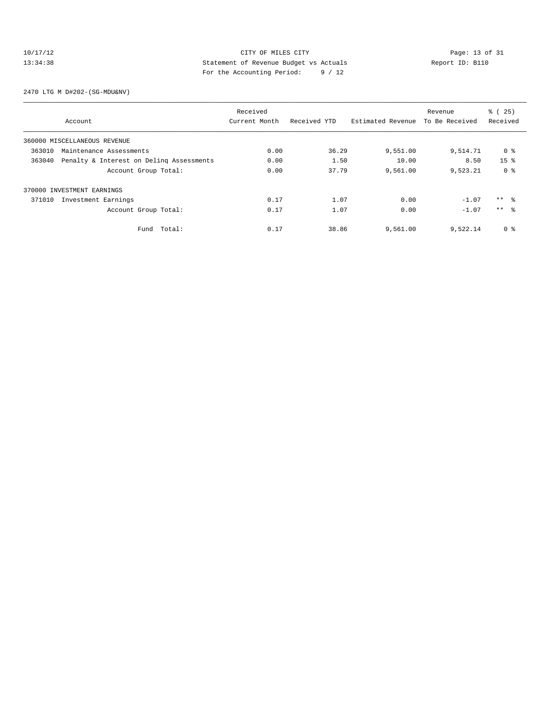#### 10/17/12 Page: 13 of 31 13:34:38 Statement of Revenue Budget vs Actuals Report ID: B110<br>Report ID: B110 For the Accounting Period: 9 / 12

2470 LTG M D#202-(SG-MDU&NV)

|        |                                          | Received      |              |                   | Revenue        | % (25)          |
|--------|------------------------------------------|---------------|--------------|-------------------|----------------|-----------------|
|        | Account                                  | Current Month | Received YTD | Estimated Revenue | To Be Received | Received        |
|        | 360000 MISCELLANEOUS REVENUE             |               |              |                   |                |                 |
| 363010 | Maintenance Assessments                  | 0.00          | 36.29        | 9,551.00          | 9,514.71       | 0 %             |
| 363040 | Penalty & Interest on Deling Assessments | 0.00          | 1.50         | 10.00             | 8.50           | 15 <sup>8</sup> |
|        | Account Group Total:                     | 0.00          | 37.79        | 9,561.00          | 9,523.21       | 0 <sup>8</sup>  |
|        | 370000 INVESTMENT EARNINGS               |               |              |                   |                |                 |
| 371010 | Investment Earnings                      | 0.17          | 1.07         | 0.00              | $-1.07$        | $***$ $\approx$ |
|        | Account Group Total:                     | 0.17          | 1.07         | 0.00              | $-1.07$        | $***$ $\approx$ |
|        | Fund Total:                              | 0.17          | 38.86        | 9,561.00          | 9,522.14       | 0 <sup>8</sup>  |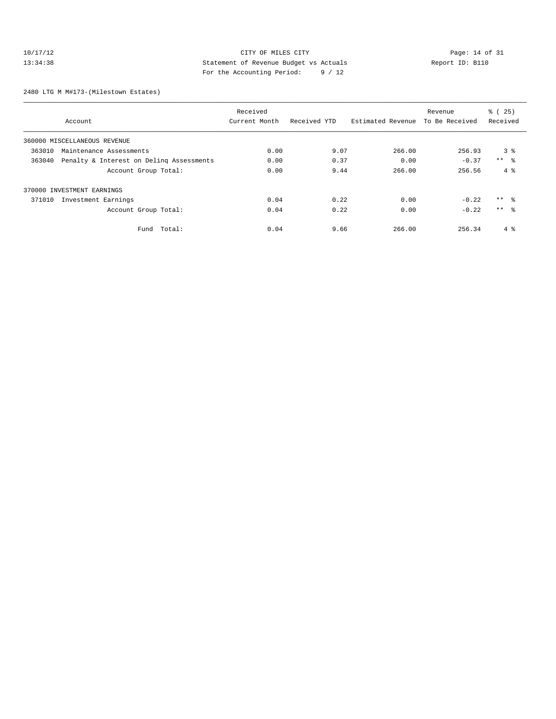# 10/17/12 Page: 14 of 31<br>13:34:38 Statement of Revenue Budget vs Actuals<br>13:34:38 Persite Page: 14 of 31<br>13:34:38 Persite Page: 14 of 2010 13:34:38 Statement of Revenue Budget vs Actuals Report ID: B110 For the Accounting Period: 9 / 12

2480 LTG M M#173-(Milestown Estates)

|        |                                          | Received      |              |                   | Revenue        | % (25)          |
|--------|------------------------------------------|---------------|--------------|-------------------|----------------|-----------------|
|        | Account                                  | Current Month | Received YTD | Estimated Revenue | To Be Received | Received        |
|        | 360000 MISCELLANEOUS REVENUE             |               |              |                   |                |                 |
| 363010 | Maintenance Assessments                  | 0.00          | 9.07         | 266.00            | 256.93         | 3 <sup>8</sup>  |
| 363040 | Penalty & Interest on Deling Assessments | 0.00          | 0.37         | 0.00              | $-0.37$        | $***$ $ -$      |
|        | Account Group Total:                     | 0.00          | 9.44         | 266.00            | 256.56         | $4\degree$      |
|        | 370000 INVESTMENT EARNINGS               |               |              |                   |                |                 |
| 371010 | Investment Earnings                      | 0.04          | 0.22         | 0.00              | $-0.22$        | $***$ $\approx$ |
|        | Account Group Total:                     | 0.04          | 0.22         | 0.00              | $-0.22$        | $***$ %         |
|        | Fund Total:                              | 0.04          | 9.66         | 266.00            | 256.34         | $4\degree$      |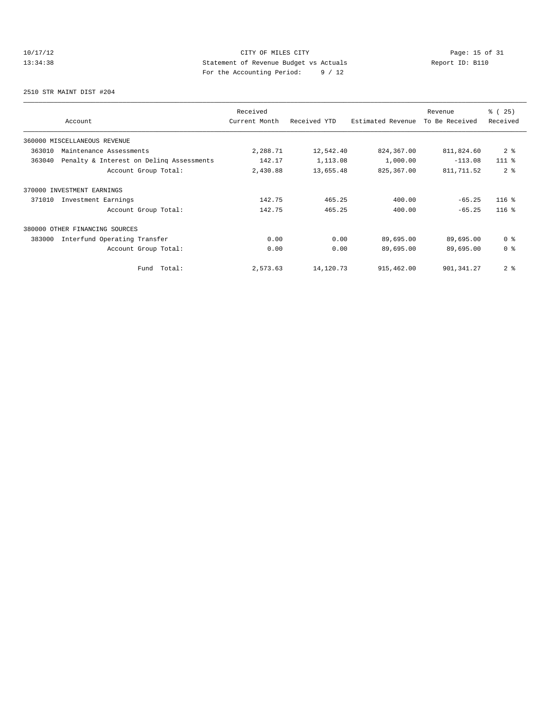# 10/17/12 Page: 15 of 31 13:34:38 Statement of Revenue Budget vs Actuals Report ID: B110<br>Report ID: B110 For the Accounting Period: 9 / 12

2510 STR MAINT DIST #204

| Account                                            | Received<br>Current Month | Received YTD | Estimated Revenue | Revenue<br>To Be Received | % (25)<br>Received |
|----------------------------------------------------|---------------------------|--------------|-------------------|---------------------------|--------------------|
| 360000 MISCELLANEOUS REVENUE                       |                           |              |                   |                           |                    |
| 363010<br>Maintenance Assessments                  | 2,288.71                  | 12,542.40    | 824,367.00        | 811,824.60                | 2 <sub>8</sub>     |
| Penalty & Interest on Deling Assessments<br>363040 | 142.17                    | 1,113.08     | 1,000.00          | $-113.08$                 | $111*$             |
| Account Group Total:                               | 2,430.88                  | 13,655.48    | 825, 367.00       | 811,711.52                | 2 <sup>8</sup>     |
| 370000 INVESTMENT EARNINGS                         |                           |              |                   |                           |                    |
| 371010<br>Investment Earnings                      | 142.75                    | 465.25       | 400.00            | $-65.25$                  | $116*$             |
| Account Group Total:                               | 142.75                    | 465.25       | 400.00            | $-65.25$                  | $116$ %            |
| OTHER FINANCING SOURCES<br>380000                  |                           |              |                   |                           |                    |
| 383000<br>Interfund Operating Transfer             | 0.00                      | 0.00         | 89,695.00         | 89,695.00                 | 0 <sup>8</sup>     |
| Account Group Total:                               | 0.00                      | 0.00         | 89,695.00         | 89,695.00                 | 0 <sup>8</sup>     |
| Total:<br>Fund                                     | 2,573.63                  | 14,120.73    | 915,462.00        | 901, 341.27               | 2 <sub>8</sub>     |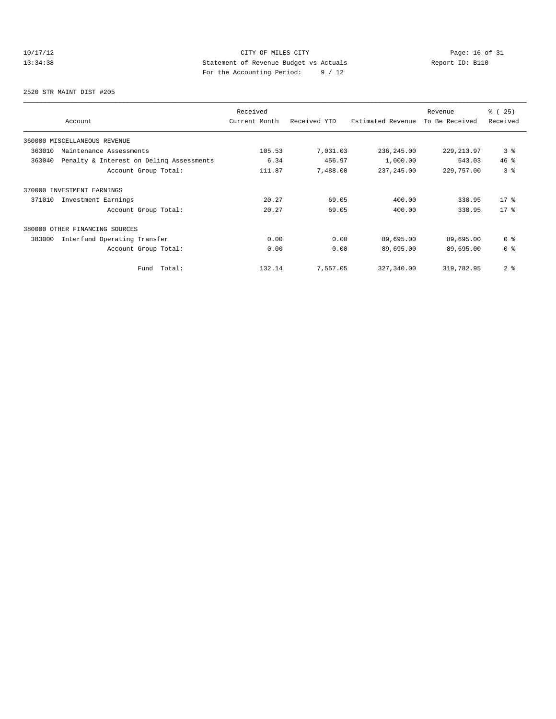# 10/17/12 Page: 16 of 31 13:34:38 Statement of Revenue Budget vs Actuals Report ID: B110 For the Accounting Period: 9 / 12

2520 STR MAINT DIST #205

| Account                                            | Received<br>Current Month | Received YTD | Estimated Revenue | Revenue<br>To Be Received | % (25)<br>Received |
|----------------------------------------------------|---------------------------|--------------|-------------------|---------------------------|--------------------|
| 360000 MISCELLANEOUS REVENUE                       |                           |              |                   |                           |                    |
| 363010<br>Maintenance Assessments                  | 105.53                    | 7,031.03     | 236,245.00        | 229, 213.97               | 3 <sup>8</sup>     |
| Penalty & Interest on Deling Assessments<br>363040 | 6.34                      | 456.97       | 1,000.00          | 543.03                    | 46%                |
| Account Group Total:                               | 111.87                    | 7,488.00     | 237, 245.00       | 229,757.00                | 3 <sup>8</sup>     |
| 370000 INVESTMENT EARNINGS                         |                           |              |                   |                           |                    |
| 371010<br>Investment Earnings                      | 20.27                     | 69.05        | 400.00            | 330.95                    | $17*$              |
| Account Group Total:                               | 20.27                     | 69.05        | 400.00            | 330.95                    | $17*$              |
| 380000 OTHER FINANCING SOURCES                     |                           |              |                   |                           |                    |
| Interfund Operating Transfer<br>383000             | 0.00                      | 0.00         | 89,695.00         | 89,695.00                 | 0 <sup>8</sup>     |
| Account Group Total:                               | 0.00                      | 0.00         | 89,695.00         | 89,695.00                 | 0 <sup>8</sup>     |
| Total:<br>Fund                                     | 132.14                    | 7,557.05     | 327,340.00        | 319,782.95                | 2 <sup>°</sup>     |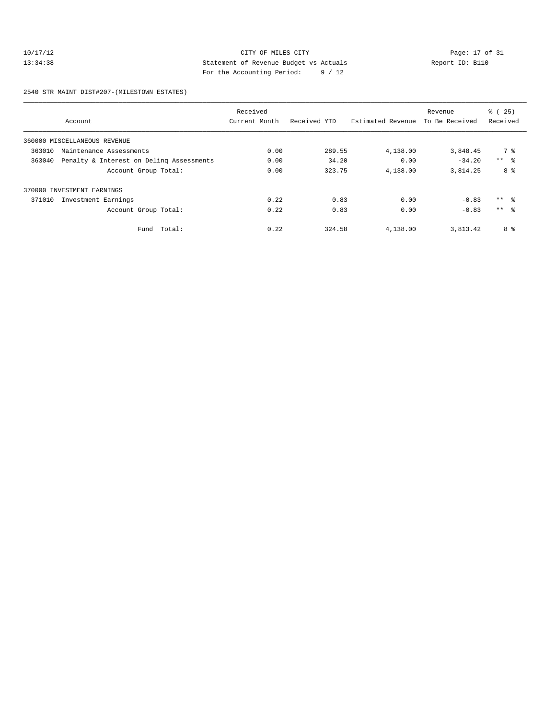#### 10/17/12 Page: 17 of 31<br>13:34:38 Statement of Revenue Budget vs Actuals<br>13:34:38 Page: 17 of 31<br>13:34:38 Page: 18:45, 20:45, 20:45, 20:45, 20:45, 20:45, 20:45, 20:45, 20:45, 20:45, 20:45, 20:45, 20:45, 20:45, 20:45, 20:45, 13:34:38 Statement of Revenue Budget vs Actuals Report ID: B110 For the Accounting Period: 9 / 12

2540 STR MAINT DIST#207-(MILESTOWN ESTATES)

|        |                                          | Received      |              |                   | Revenue        | $\frac{1}{6}$ ( 25 ) |
|--------|------------------------------------------|---------------|--------------|-------------------|----------------|----------------------|
|        | Account                                  | Current Month | Received YTD | Estimated Revenue | To Be Received | Received             |
|        | 360000 MISCELLANEOUS REVENUE             |               |              |                   |                |                      |
| 363010 | Maintenance Assessments                  | 0.00          | 289.55       | 4,138.00          | 3,848.45       | 7 %                  |
| 363040 | Penalty & Interest on Deling Assessments | 0.00          | 34.20        | 0.00              | $-34.20$       | $***$ $ -$           |
|        | Account Group Total:                     | 0.00          | 323.75       | 4,138.00          | 3,814.25       | 8 %                  |
|        | 370000 INVESTMENT EARNINGS               |               |              |                   |                |                      |
| 371010 | Investment Earnings                      | 0.22          | 0.83         | 0.00              | $-0.83$        | $***$ $ -$           |
|        | Account Group Total:                     | 0.22          | 0.83         | 0.00              | $-0.83$        | $***$ $\approx$      |
|        | Fund Total:                              | 0.22          | 324.58       | 4,138.00          | 3,813.42       | 8 %                  |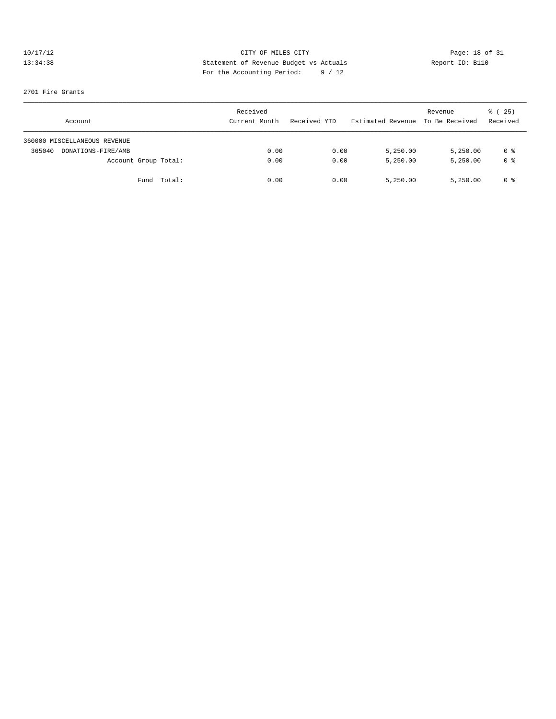# 10/17/12 Page: 18 of 31<br>13:34:38 Statement of Revenue Budget vs Actuals<br>13:34:38 Part the Monountine Paulois (12, 2004) 13:34:38 Statement of Revenue Budget vs Actuals Report ID: B110 For the Accounting Period: 9 / 12

#### 2701 Fire Grants

| Account                      | Received<br>Current Month | Received YTD | Estimated Revenue | Revenue<br>To Be Received | $\frac{1}{6}$ ( 25 )<br>Received |
|------------------------------|---------------------------|--------------|-------------------|---------------------------|----------------------------------|
| 360000 MISCELLANEOUS REVENUE |                           |              |                   |                           |                                  |
| DONATIONS-FIRE/AMB<br>365040 | 0.00                      | 0.00         | 5,250.00          | 5,250.00                  | 0 %                              |
| Account Group Total:         | 0.00                      | 0.00         | 5,250.00          | 5,250.00                  | 0 <sup>8</sup>                   |
| Fund Total:                  | 0.00                      | 0.00         | 5,250.00          | 5,250.00                  | 0 %                              |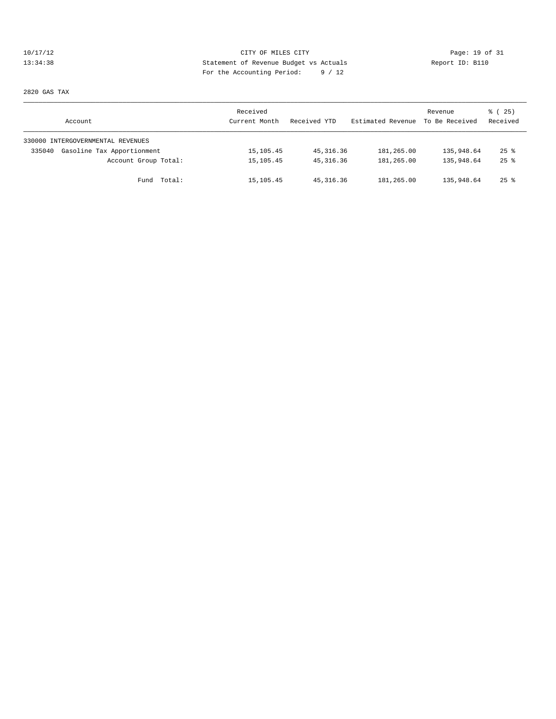# 10/17/12 Page: 19 of 31<br>13:34:38 Statement of Revenue Budget vs Actuals<br>13:34:38 Partha Acquiring Dariod: 2, 12 13:34:38 Statement of Revenue Budget vs Actuals Report ID: B110 For the Accounting Period: 9 / 12

2820 GAS TAX

| Account                              | Received<br>Current Month | Received YTD | Estimated Revenue | Revenue<br>To Be Received | 8 (25)<br>Received |
|--------------------------------------|---------------------------|--------------|-------------------|---------------------------|--------------------|
| 330000 INTERGOVERNMENTAL REVENUES    |                           |              |                   |                           |                    |
| Gasoline Tax Apportionment<br>335040 | 15, 105. 45               | 45,316.36    | 181,265.00        | 135,948.64                | $25$ %             |
| Account Group Total:                 | 15, 105. 45               | 45,316.36    | 181,265.00        | 135,948.64                | $25$ $\frac{6}{5}$ |
| Fund Total:                          | 15,105.45                 | 45,316.36    | 181,265.00        | 135,948.64                | $25$ %             |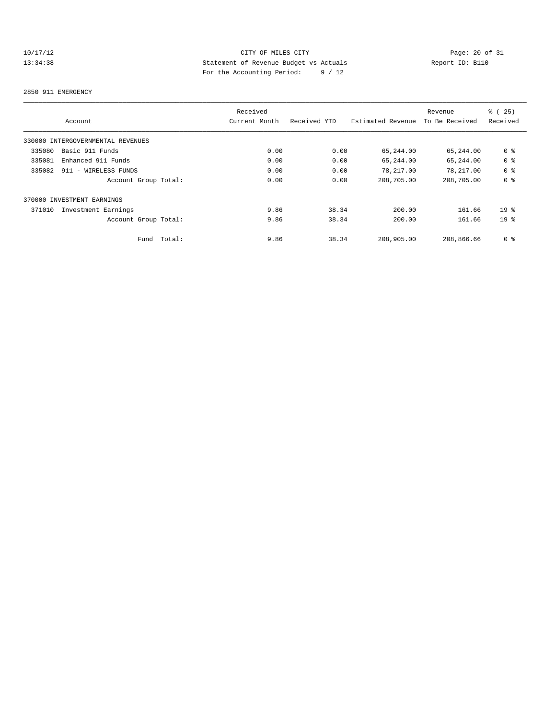# 10/17/12 Page: 20 of 31 13:34:38 Statement of Revenue Budget vs Actuals Report ID: B110<br>Report ID: B110 For the Accounting Period: 9 / 12

#### 2850 911 EMERGENCY

|                                   | Received      |              |                   | Revenue        | % (25)          |
|-----------------------------------|---------------|--------------|-------------------|----------------|-----------------|
| Account                           | Current Month | Received YTD | Estimated Revenue | To Be Received | Received        |
| 330000 INTERGOVERNMENTAL REVENUES |               |              |                   |                |                 |
| Basic 911 Funds<br>335080         | 0.00          | 0.00         | 65,244.00         | 65,244.00      | 0 <sup>8</sup>  |
| 335081<br>Enhanced 911 Funds      | 0.00          | 0.00         | 65,244.00         | 65,244.00      | 0 <sup>8</sup>  |
| 335082<br>911 - WIRELESS FUNDS    | 0.00          | 0.00         | 78,217.00         | 78,217.00      | 0 <sup>8</sup>  |
| Account Group Total:              | 0.00          | 0.00         | 208,705.00        | 208,705.00     | 0 <sup>8</sup>  |
| 370000 INVESTMENT EARNINGS        |               |              |                   |                |                 |
| 371010<br>Investment Earnings     | 9.86          | 38.34        | 200.00            | 161.66         | 19 <sup>8</sup> |
| Account Group Total:              | 9.86          | 38.34        | 200.00            | 161.66         | 19 <sup>8</sup> |
| Total:<br>Fund                    | 9.86          | 38.34        | 208,905.00        | 208,866.66     | 0 <sup>8</sup>  |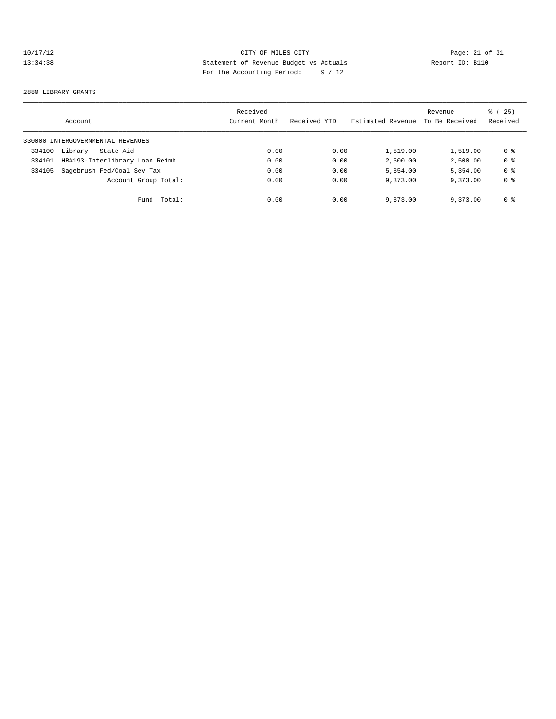# 10/17/12 Page: 21 of 31<br>13:34:38 Statement of Revenue Budget vs Actuals<br>13:34:38 Partha Acquiring Dariod: 2, 12 13:34:38 Statement of Revenue Budget vs Actuals Report ID: B110 For the Accounting Period: 9 / 12

#### 2880 LIBRARY GRANTS

|        | Account                           | Received<br>Current Month | Received YTD | Estimated Revenue | Revenue<br>To Be Received | 25)<br>ී (<br>Received |
|--------|-----------------------------------|---------------------------|--------------|-------------------|---------------------------|------------------------|
|        | 330000 INTERGOVERNMENTAL REVENUES |                           |              |                   |                           |                        |
| 334100 | Library - State Aid               | 0.00                      | 0.00         | 1,519.00          | 1,519.00                  | 0 %                    |
| 334101 | HB#193-Interlibrary Loan Reimb    | 0.00                      | 0.00         | 2,500.00          | 2,500.00                  | 0 <sup>8</sup>         |
| 334105 | Sagebrush Fed/Coal Sev Tax        | 0.00                      | 0.00         | 5,354.00          | 5,354.00                  | 0 <sup>8</sup>         |
|        | Account Group Total:              | 0.00                      | 0.00         | 9,373.00          | 9,373.00                  | 0 <sup>8</sup>         |
|        | Total:<br>Fund                    | 0.00                      | 0.00         | 9,373.00          | 9,373.00                  | 0 %                    |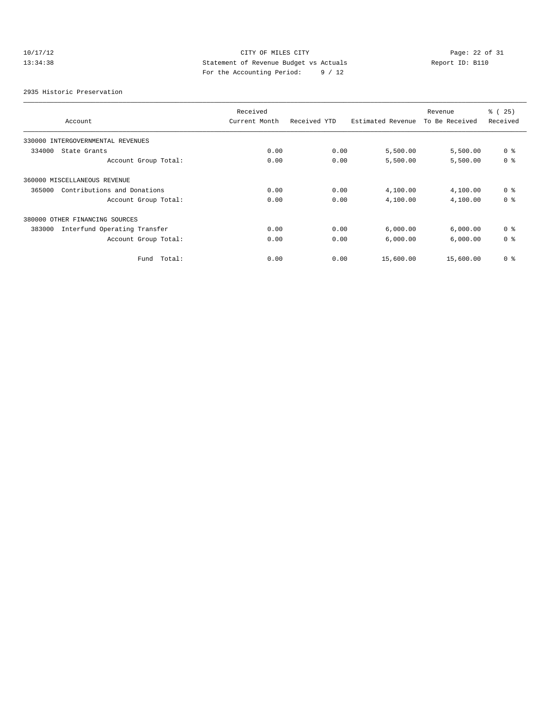# 10/17/12 Page: 22 of 31 13:34:38 Statement of Revenue Budget vs Actuals Report ID: B110 For the Accounting Period: 9 / 12

2935 Historic Preservation

|                                        | Received      |              |                   | Revenue        | % (25)         |
|----------------------------------------|---------------|--------------|-------------------|----------------|----------------|
| Account                                | Current Month | Received YTD | Estimated Revenue | To Be Received | Received       |
| 330000<br>INTERGOVERNMENTAL REVENUES   |               |              |                   |                |                |
| 334000<br>State Grants                 | 0.00          | 0.00         | 5,500.00          | 5,500.00       | 0 <sup>8</sup> |
| Account Group Total:                   | 0.00          | 0.00         | 5,500.00          | 5,500.00       | 0 <sup>8</sup> |
| 360000 MISCELLANEOUS REVENUE           |               |              |                   |                |                |
| Contributions and Donations<br>365000  | 0.00          | 0.00         | 4,100.00          | 4,100.00       | 0 <sup>8</sup> |
| Account Group Total:                   | 0.00          | 0.00         | 4,100.00          | 4,100.00       | 0 <sup>8</sup> |
| 380000 OTHER FINANCING SOURCES         |               |              |                   |                |                |
| Interfund Operating Transfer<br>383000 | 0.00          | 0.00         | 6,000.00          | 6,000.00       | 0 <sup>8</sup> |
| Account Group Total:                   | 0.00          | 0.00         | 6,000.00          | 6,000.00       | 0 <sup>8</sup> |
| Fund Total:                            | 0.00          | 0.00         | 15,600.00         | 15,600.00      | 0 <sup>8</sup> |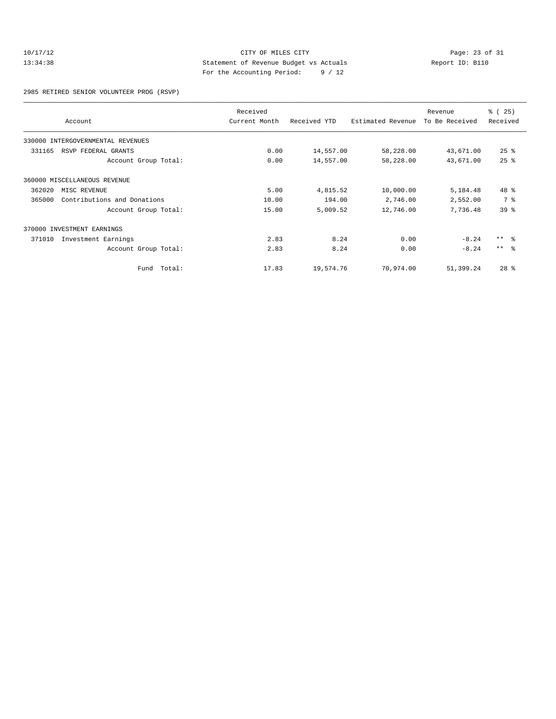#### 10/17/12 Page: 23 of 31 13:34:38 Statement of Revenue Budget vs Actuals Report ID: B110 For the Accounting Period: 9 / 12

2985 RETIRED SENIOR VOLUNTEER PROG (RSVP)

|        | Account                           | Received<br>Current Month | Received YTD | Estimated Revenue | Revenue<br>To Be Received | % (25)<br>Received |
|--------|-----------------------------------|---------------------------|--------------|-------------------|---------------------------|--------------------|
|        | 330000 INTERGOVERNMENTAL REVENUES |                           |              |                   |                           |                    |
| 331165 | RSVP FEDERAL GRANTS               | 0.00                      | 14,557.00    | 58,228.00         | 43,671.00                 | $25$ $%$           |
|        | Account Group Total:              | 0.00                      | 14,557.00    | 58,228.00         | 43,671.00                 | 25%                |
|        | 360000 MISCELLANEOUS REVENUE      |                           |              |                   |                           |                    |
| 362020 | MISC REVENUE                      | 5.00                      | 4,815.52     | 10,000.00         | 5,184.48                  | 48 %               |
| 365000 | Contributions and Donations       | 10.00                     | 194.00       | 2,746.00          | 2,552.00                  | 7 %                |
|        | Account Group Total:              | 15.00                     | 5,009.52     | 12,746.00         | 7,736.48                  | 39%                |
|        | 370000 INVESTMENT EARNINGS        |                           |              |                   |                           |                    |
| 371010 | Investment Earnings               | 2.83                      | 8.24         | 0.00              | $-8.24$                   | ** 응               |
|        | Account Group Total:              | 2.83                      | 8.24         | 0.00              | $-8.24$                   | $***$ %            |
|        | Total:<br>Fund                    | 17.83                     | 19,574.76    | 70,974.00         | 51,399.24                 | $28$ %             |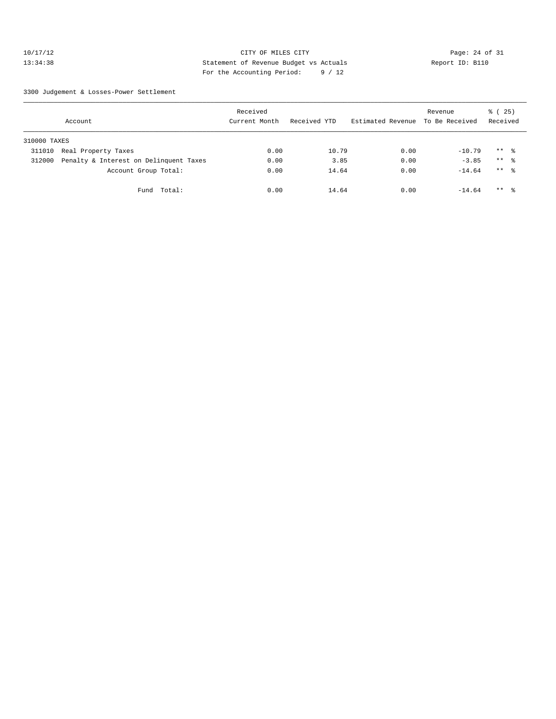#### 10/17/12 Page: 24 of 31 13:34:38 Statement of Revenue Budget vs Actuals Report ID: B110 For the Accounting Period: 9 / 12

3300 Judgement & Losses-Power Settlement

|              | Account                                | Received<br>Current Month | Received YTD | Estimated Revenue | Revenue<br>To Be Received | % (25)<br>Received  |  |
|--------------|----------------------------------------|---------------------------|--------------|-------------------|---------------------------|---------------------|--|
| 310000 TAXES |                                        |                           |              |                   |                           |                     |  |
| 311010       | Real Property Taxes                    | 0.00                      | 10.79        | 0.00              | $-10.79$                  | $***$ %             |  |
| 312000       | Penalty & Interest on Delinquent Taxes | 0.00                      | 3.85         | 0.00              | $-3.85$                   | $***$ $\approx$     |  |
|              | Account Group Total:                   | 0.00                      | 14.64        | 0.00              | $-14.64$                  | $***$ $\frac{6}{6}$ |  |
|              | Total:<br>Fund                         | 0.00                      | 14.64        | 0.00              | $-14.64$                  | $***$ $\frac{6}{5}$ |  |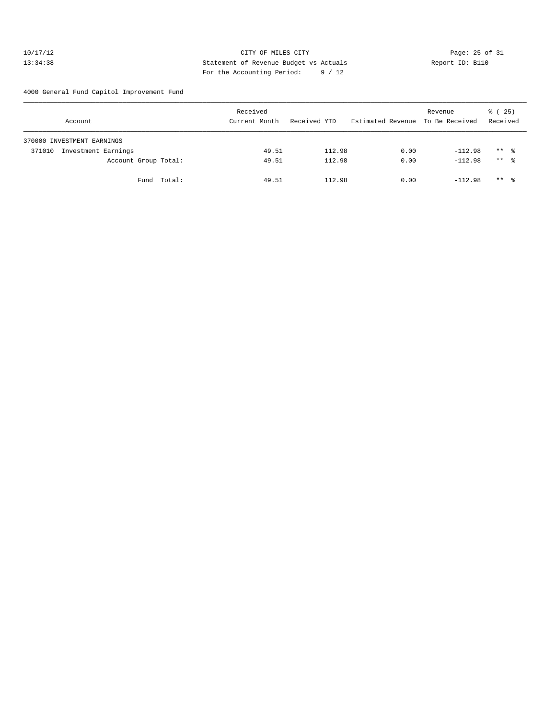#### 10/17/12 Page: 25 of 31 13:34:38 Statement of Revenue Budget vs Actuals Report ID: B110 For the Accounting Period: 9 / 12

4000 General Fund Capitol Improvement Fund

| Account                       | Received<br>Current Month | Received YTD | Estimated Revenue To Be Received | Revenue   | % (25)<br>Received  |
|-------------------------------|---------------------------|--------------|----------------------------------|-----------|---------------------|
| 370000 INVESTMENT EARNINGS    |                           |              |                                  |           |                     |
| Investment Earnings<br>371010 | 49.51                     | 112.98       | 0.00                             | $-112.98$ | $***$ $\frac{6}{3}$ |
| Account Group Total:          | 49.51                     | 112.98       | 0.00                             | $-112.98$ | $***$ 8             |
| Fund Total:                   | 49.51                     | 112.98       | 0.00                             | $-112.98$ | $***$ $\frac{6}{3}$ |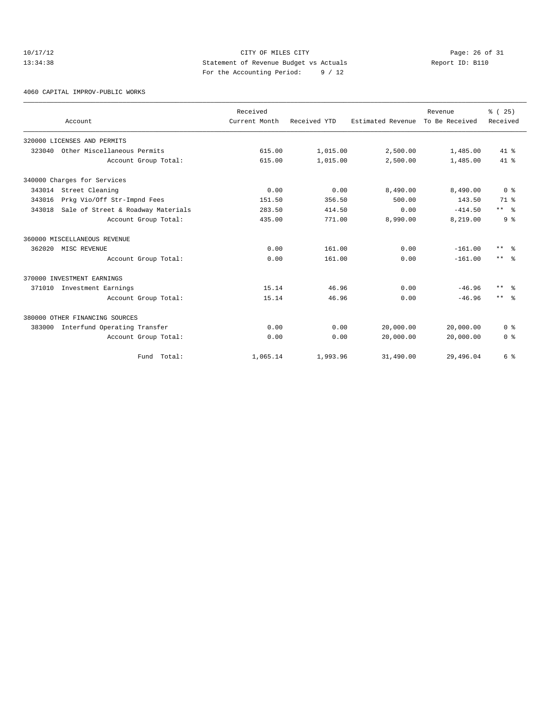#### 10/17/12 Page: 26 of 31 13:34:38 Statement of Revenue Budget vs Actuals Report ID: B110 For the Accounting Period: 9 / 12

4060 CAPITAL IMPROV-PUBLIC WORKS

|        | Account                             | Received<br>Current Month | Received YTD | Estimated Revenue | Revenue<br>To Be Received | % (25)<br>Received      |  |
|--------|-------------------------------------|---------------------------|--------------|-------------------|---------------------------|-------------------------|--|
|        | 320000 LICENSES AND PERMITS         |                           |              |                   |                           |                         |  |
| 323040 | Other Miscellaneous Permits         | 615.00                    | 1,015.00     | 2,500.00          | 1,485.00                  | $41*$                   |  |
|        | Account Group Total:                | 615.00                    | 1,015.00     | 2,500.00          | 1,485.00                  | $41*$                   |  |
|        | 340000 Charges for Services         |                           |              |                   |                           |                         |  |
|        | 343014 Street Cleaning              | 0.00                      | 0.00         | 8,490.00          | 8,490.00                  | 0 <sup>8</sup>          |  |
| 343016 | Prkg Vio/Off Str-Impnd Fees         | 151.50                    | 356.50       | 500.00            | 143.50                    | 71.8                    |  |
| 343018 | Sale of Street & Roadway Materials  | 283.50                    | 414.50       | 0.00              | $-414.50$                 | $***$ $ \frac{6}{9}$    |  |
|        | Account Group Total:                | 435.00                    | 771.00       | 8,990.00          | 8,219.00                  | 9 <sub>8</sub>          |  |
|        | 360000 MISCELLANEOUS REVENUE        |                           |              |                   |                           |                         |  |
| 362020 | MISC REVENUE                        | 0.00                      | 161.00       | 0.00              | $-161.00$                 | $***$ $=$ $\frac{6}{5}$ |  |
|        | Account Group Total:                | 0.00                      | 161.00       | 0.00              | $-161.00$                 | $***$ $ \frac{6}{6}$    |  |
|        | 370000 INVESTMENT EARNINGS          |                           |              |                   |                           |                         |  |
| 371010 | Investment Earnings                 | 15.14                     | 46.96        | 0.00              | $-46.96$                  | $***$ $ \frac{6}{9}$    |  |
|        | Account Group Total:                | 15.14                     | 46.96        | 0.00              | $-46.96$                  | $***$ $\frac{6}{6}$     |  |
|        | 380000 OTHER FINANCING SOURCES      |                           |              |                   |                           |                         |  |
|        | 383000 Interfund Operating Transfer | 0.00                      | 0.00         | 20,000.00         | 20,000.00                 | 0 <sup>8</sup>          |  |
|        | Account Group Total:                | 0.00                      | 0.00         | 20,000.00         | 20,000.00                 | 0 <sup>8</sup>          |  |
|        | Fund Total:                         | 1,065.14                  | 1,993.96     | 31,490.00         | 29,496.04                 | 6 %                     |  |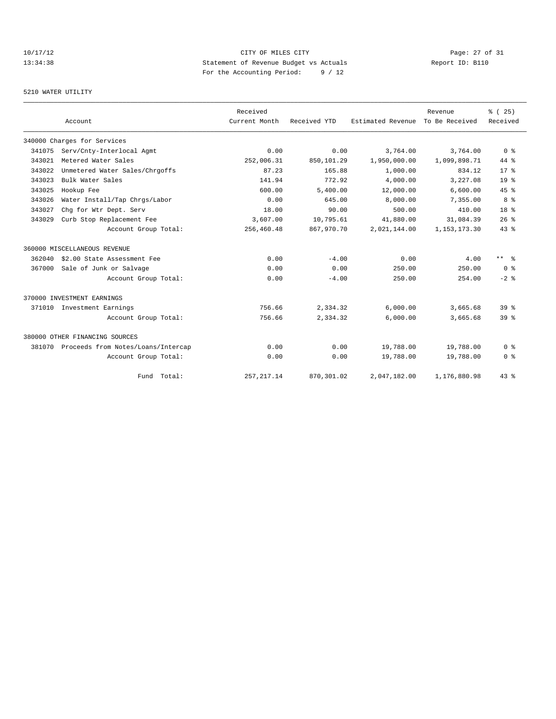# 10/17/12 Page: 27 of 31 13:34:38 Statement of Revenue Budget vs Actuals Report ID: B110 For the Accounting Period: 9 / 12

#### 5210 WATER UTILITY

|        | Account                            | Received<br>Current Month | Received YTD | Estimated Revenue | Revenue<br>To Be Received | % (25)<br>Received   |
|--------|------------------------------------|---------------------------|--------------|-------------------|---------------------------|----------------------|
|        | 340000 Charges for Services        |                           |              |                   |                           |                      |
|        |                                    |                           |              |                   |                           |                      |
| 341075 | Serv/Cnty-Interlocal Agmt          | 0.00                      | 0.00         | 3,764.00          | 3,764.00                  | 0 <sup>8</sup>       |
| 343021 | Metered Water Sales                | 252,006.31                | 850,101.29   | 1,950,000.00      | 1,099,898.71              | 44 %                 |
| 343022 | Unmetered Water Sales/Chrgoffs     | 87.23                     | 165.88       | 1,000.00          | 834.12                    | $17*$                |
| 343023 | Bulk Water Sales                   | 141.94                    | 772.92       | 4,000.00          | 3,227.08                  | 19 <sup>°</sup>      |
| 343025 | Hookup Fee                         | 600.00                    | 5,400.00     | 12,000.00         | 6,600.00                  | 45%                  |
| 343026 | Water Install/Tap Chrgs/Labor      | 0.00                      | 645.00       | 8,000.00          | 7,355.00                  | 8 %                  |
| 343027 | Chg for Wtr Dept. Serv             | 18.00                     | 90.00        | 500.00            | 410.00                    | 18 <sup>8</sup>      |
| 343029 | Curb Stop Replacement Fee          | 3,607.00                  | 10,795.61    | 41,880.00         | 31,084.39                 | 26%                  |
|        | Account Group Total:               | 256,460.48                | 867,970.70   | 2,021,144.00      | 1, 153, 173.30            | 43%                  |
|        | 360000 MISCELLANEOUS REVENUE       |                           |              |                   |                           |                      |
| 362040 | \$2.00 State Assessment Fee        | 0.00                      | $-4.00$      | 0.00              | 4.00                      | $***$ $ \frac{6}{9}$ |
| 367000 | Sale of Junk or Salvage            | 0.00                      | 0.00         | 250.00            | 250.00                    | 0 %                  |
|        | Account Group Total:               | 0.00                      | $-4.00$      | 250.00            | 254.00                    | $-2$ %               |
|        | 370000 INVESTMENT EARNINGS         |                           |              |                   |                           |                      |
| 371010 | Investment Earnings                | 756.66                    | 2,334.32     | 6,000.00          | 3,665.68                  | 39 <sup>8</sup>      |
|        | Account Group Total:               | 756.66                    | 2,334.32     | 6,000.00          | 3,665.68                  | 39 <sup>8</sup>      |
|        | 380000 OTHER FINANCING SOURCES     |                           |              |                   |                           |                      |
| 381070 | Proceeds from Notes/Loans/Intercap | 0.00                      | 0.00         | 19,788.00         | 19,788.00                 | 0 <sup>8</sup>       |
|        | Account Group Total:               | 0.00                      | 0.00         | 19,788.00         | 19,788.00                 | 0 <sup>8</sup>       |
|        | Fund Total:                        | 257, 217.14               | 870,301.02   | 2,047,182.00      | 1,176,880.98              | $43*$                |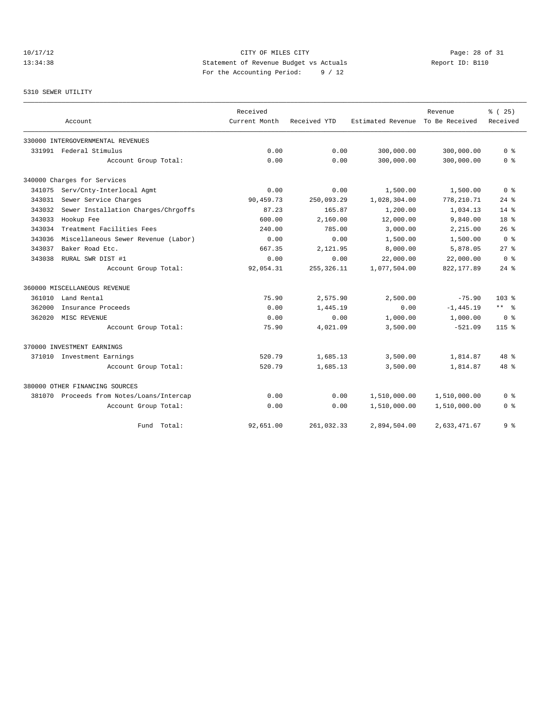#### 10/17/12 Page: 28 of 31 13:34:38 Statement of Revenue Budget vs Actuals Report ID: B110 For the Accounting Period: 9 / 12

#### 5310 SEWER UTILITY

|        |                                           | Received      |              |                   | Revenue        | % (25)             |
|--------|-------------------------------------------|---------------|--------------|-------------------|----------------|--------------------|
|        | Account                                   | Current Month | Received YTD | Estimated Revenue | To Be Received | Received           |
|        | 330000 INTERGOVERNMENTAL REVENUES         |               |              |                   |                |                    |
|        | 331991 Federal Stimulus                   | 0.00          | 0.00         | 300,000.00        | 300,000.00     | 0 <sup>8</sup>     |
|        | Account Group Total:                      | 0.00          | 0.00         | 300,000.00        | 300,000.00     | 0 <sup>8</sup>     |
|        | 340000 Charges for Services               |               |              |                   |                |                    |
| 341075 | Serv/Cnty-Interlocal Agmt                 | 0.00          | 0.00         | 1,500.00          | 1,500.00       | 0 <sup>8</sup>     |
| 343031 | Sewer Service Charges                     | 90,459.73     | 250,093.29   | 1,028,304.00      | 778,210.71     | $24$ $\frac{6}{3}$ |
| 343032 | Sewer Installation Charges/Chrgoffs       | 87.23         | 165.87       | 1,200.00          | 1,034.13       | $14*$              |
| 343033 | Hookup Fee                                | 600.00        | 2.160.00     | 12,000.00         | 9,840.00       | 18 <sup>8</sup>    |
| 343034 | Treatment Facilities Fees                 | 240.00        | 785.00       | 3,000.00          | 2,215.00       | $26$ %             |
| 343036 | Miscellaneous Sewer Revenue (Labor)       | 0.00          | 0.00         | 1,500.00          | 1,500.00       | 0 <sup>8</sup>     |
| 343037 | Baker Road Etc.                           | 667.35        | 2,121.95     | 8,000.00          | 5,878.05       | $27$ %             |
| 343038 | RURAL SWR DIST #1                         | 0.00          | 0.00         | 22,000.00         | 22,000.00      | 0 <sup>8</sup>     |
|        | Account Group Total:                      | 92,054.31     | 255, 326.11  | 1,077,504.00      | 822, 177.89    | $24$ $%$           |
|        | 360000 MISCELLANEOUS REVENUE              |               |              |                   |                |                    |
| 361010 | Land Rental                               | 75.90         | 2,575.90     | 2,500.00          | $-75.90$       | 103 <sub>8</sub>   |
| 362000 | Insurance Proceeds                        | 0.00          | 1,445.19     | 0.00              | $-1, 445.19$   | $***$ $ -$         |
| 362020 | MISC REVENUE                              | 0.00          | 0.00         | 1,000.00          | 1,000.00       | 0 <sup>8</sup>     |
|        | Account Group Total:                      | 75.90         | 4,021.09     | 3,500.00          | $-521.09$      | $115$ %            |
|        | 370000 INVESTMENT EARNINGS                |               |              |                   |                |                    |
|        | 371010 Investment Earnings                | 520.79        | 1,685.13     | 3,500.00          | 1,814.87       | $48$ %             |
|        | Account Group Total:                      | 520.79        | 1,685.13     | 3,500.00          | 1,814.87       | $48$ %             |
|        | 380000 OTHER FINANCING SOURCES            |               |              |                   |                |                    |
|        | 381070 Proceeds from Notes/Loans/Intercap | 0.00          | 0.00         | 1,510,000.00      | 1,510,000.00   | 0 <sup>8</sup>     |
|        | Account Group Total:                      | 0.00          | 0.00         | 1,510,000.00      | 1,510,000.00   | 0 <sup>8</sup>     |
|        | Fund Total:                               | 92,651.00     | 261,032.33   | 2,894,504.00      | 2,633,471.67   | <b>9 %</b>         |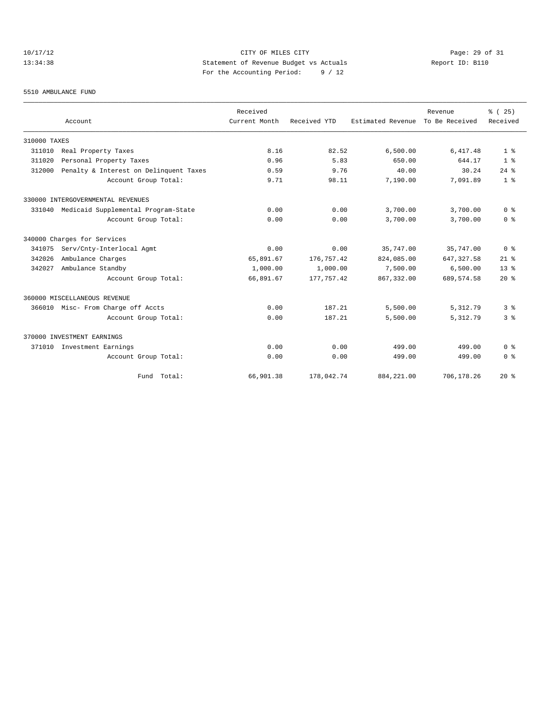# 10/17/12 Page: 29 of 31 13:34:38 Statement of Revenue Budget vs Actuals Report ID: B110 For the Accounting Period: 9 / 12

#### 5510 AMBULANCE FUND

|              | Account                                | Received<br>Current Month | Received YTD | Estimated Revenue | Revenue<br>To Be Received | % (25)<br>Received |
|--------------|----------------------------------------|---------------------------|--------------|-------------------|---------------------------|--------------------|
| 310000 TAXES |                                        |                           |              |                   |                           |                    |
| 311010       | Real Property Taxes                    | 8.16                      | 82.52        | 6,500.00          | 6,417.48                  | 1 <sup>8</sup>     |
| 311020       | Personal Property Taxes                | 0.96                      | 5.83         | 650.00            | 644.17                    | 1 <sup>8</sup>     |
| 312000       | Penalty & Interest on Delinquent Taxes | 0.59                      | 9.76         | 40.00             | 30.24                     | $24$ $%$           |
|              | Account Group Total:                   | 9.71                      | 98.11        | 7,190.00          | 7.091.89                  | 1 <sup>8</sup>     |
|              | 330000 INTERGOVERNMENTAL REVENUES      |                           |              |                   |                           |                    |
| 331040       | Medicaid Supplemental Program-State    | 0.00                      | 0.00         | 3,700.00          | 3,700.00                  | 0 <sup>8</sup>     |
|              | Account Group Total:                   | 0.00                      | 0.00         | 3,700.00          | 3,700.00                  | 0 <sup>8</sup>     |
|              | 340000 Charges for Services            |                           |              |                   |                           |                    |
| 341075       | Serv/Cnty-Interlocal Agmt              | 0.00                      | 0.00         | 35,747.00         | 35,747.00                 | 0 <sup>8</sup>     |
| 342026       | Ambulance Charges                      | 65,891.67                 | 176, 757.42  | 824,085.00        | 647, 327.58               | $21$ %             |
| 342027       | Ambulance Standby                      | 1,000.00                  | 1,000.00     | 7,500.00          | 6,500.00                  | 13 <sup>8</sup>    |
|              | Account Group Total:                   | 66,891.67                 | 177,757.42   | 867, 332, 00      | 689,574.58                | $20*$              |
|              | 360000 MISCELLANEOUS REVENUE           |                           |              |                   |                           |                    |
|              | 366010 Misc- From Charge off Accts     | 0.00                      | 187.21       | 5,500.00          | 5,312.79                  | 3%                 |
|              | Account Group Total:                   | 0.00                      | 187.21       | 5,500.00          | 5,312.79                  | 3 <sup>8</sup>     |
|              | 370000 INVESTMENT EARNINGS             |                           |              |                   |                           |                    |
| 371010       | Investment Earnings                    | 0.00                      | 0.00         | 499.00            | 499.00                    | 0 <sup>8</sup>     |
|              | Account Group Total:                   | 0.00                      | 0.00         | 499.00            | 499.00                    | 0 <sup>8</sup>     |
|              | Fund Total:                            | 66,901.38                 | 178,042.74   | 884, 221.00       | 706,178.26                | $20*$              |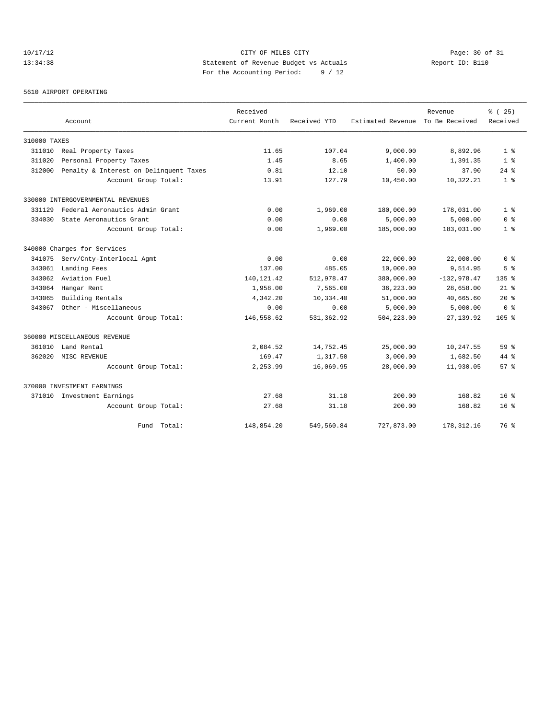# 10/17/12 Page: 30 of 31 13:34:38 Statement of Revenue Budget vs Actuals Report ID: B110 For the Accounting Period: 9 / 12

5610 AIRPORT OPERATING

|              |                                        | Received      |              |                                  | Revenue       | % (25)           |
|--------------|----------------------------------------|---------------|--------------|----------------------------------|---------------|------------------|
|              | Account                                | Current Month | Received YTD | Estimated Revenue To Be Received |               | Received         |
| 310000 TAXES |                                        |               |              |                                  |               |                  |
| 311010       | Real Property Taxes                    | 11.65         | 107.04       | 9,000.00                         | 8,892.96      | 1 <sup>8</sup>   |
| 311020       | Personal Property Taxes                | 1.45          | 8.65         | 1,400.00                         | 1,391.35      | 1 <sup>8</sup>   |
| 312000       | Penalty & Interest on Delinquent Taxes | 0.81          | 12.10        | 50.00                            | 37.90         | $24$ $%$         |
|              | Account Group Total:                   | 13.91         | 127.79       | 10,450.00                        | 10,322.21     | 1 <sup>8</sup>   |
|              | 330000 INTERGOVERNMENTAL REVENUES      |               |              |                                  |               |                  |
| 331129       | Federal Aeronautics Admin Grant        | 0.00          | 1,969.00     | 180,000.00                       | 178,031.00    | 1 <sup>8</sup>   |
| 334030       | State Aeronautics Grant                | 0.00          | 0.00         | 5,000.00                         | 5,000.00      | 0 <sup>8</sup>   |
|              | Account Group Total:                   | 0.00          | 1,969.00     | 185,000.00                       | 183,031.00    | 1 <sup>8</sup>   |
|              | 340000 Charges for Services            |               |              |                                  |               |                  |
| 341075       | Serv/Cnty-Interlocal Agmt              | 0.00          | 0.00         | 22,000.00                        | 22,000.00     | 0 <sup>8</sup>   |
| 343061       | Landing Fees                           | 137.00        | 485.05       | 10,000.00                        | 9,514.95      | 5 <sup>8</sup>   |
| 343062       | Aviation Fuel                          | 140, 121.42   | 512,978.47   | 380,000.00                       | $-132,978.47$ | 135 <sub>8</sub> |
| 343064       | Hangar Rent                            | 1,958.00      | 7,565.00     | 36,223.00                        | 28,658.00     | $21$ %           |
| 343065       | Building Rentals                       | 4,342.20      | 10,334.40    | 51,000.00                        | 40,665.60     | $20*$            |
| 343067       | Other - Miscellaneous                  | 0.00          | 0.00         | 5,000.00                         | 5,000.00      | 0 <sup>8</sup>   |
|              | Account Group Total:                   | 146,558.62    | 531,362.92   | 504,223.00                       | $-27, 139.92$ | 105 <sub>8</sub> |
|              | 360000 MISCELLANEOUS REVENUE           |               |              |                                  |               |                  |
| 361010       | Land Rental                            | 2,084.52      | 14,752.45    | 25,000.00                        | 10,247.55     | 59 <sup>8</sup>  |
| 362020       | MISC REVENUE                           | 169.47        | 1,317.50     | 3,000.00                         | 1,682.50      | 44 %             |
|              | Account Group Total:                   | 2,253.99      | 16,069.95    | 28,000.00                        | 11,930.05     | 57%              |
|              | 370000 INVESTMENT EARNINGS             |               |              |                                  |               |                  |
|              | 371010 Investment Earnings             | 27.68         | 31.18        | 200.00                           | 168.82        | 16 <sup>8</sup>  |
|              | Account Group Total:                   | 27.68         | 31.18        | 200.00                           | 168.82        | 16 <sup>8</sup>  |
|              | Total:<br>Fund                         | 148,854.20    | 549,560.84   | 727,873.00                       | 178, 312.16   | 76 %             |